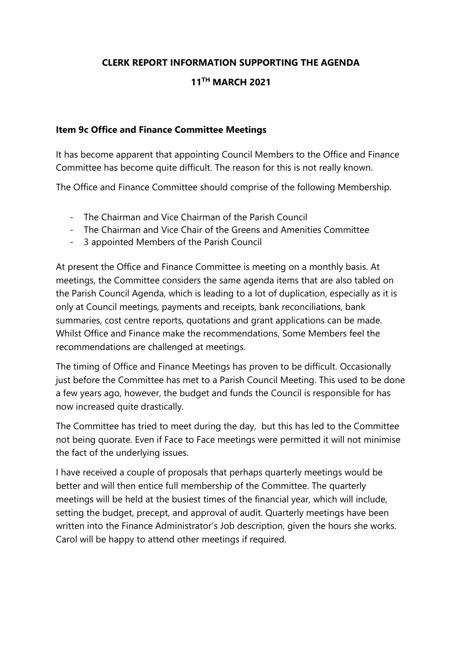## **CLERK REPORT INFORMATION SUPPORTING THE AGENDA**

## **11TH MARCH 2021**

## **Item 9c Office and Finance Committee Meetings**

It has become apparent that appointing Council Members to the Office and Finance Committee has become quite difficult. The reason for this is not really known.

The Office and Finance Committee should comprise of the following Membership.

- The Chairman and Vice Chairman of the Parish Council
- The Chairman and Vice Chair of the Greens and Amenities Committee
- 3 appointed Members of the Parish Council

At present the Office and Finance Committee is meeting on a monthly basis. At meetings, the Committee considers the same agenda items that are also tabled on the Parish Council Agenda, which is leading to a lot of duplication, especially as it is only at Council meetings, payments and receipts, bank reconciliations, bank summaries, cost centre reports, quotations and grant applications can be made. Whilst Office and Finance make the recommendations, Some Members feel the recommendations are challenged at meetings.

The timing of Office and Finance Meetings has proven to be difficult. Occasionally just before the Committee has met to a Parish Council Meeting. This used to be done a few years ago, however, the budget and funds the Council is responsible for has now increased quite drastically.

The Committee has tried to meet during the day, but this has led to the Committee not being quorate. Even if Face to Face meetings were permitted it will not minimise the fact of the underlying issues.

I have received a couple of proposals that perhaps quarterly meetings would be better and will then entice full membership of the Committee. The quarterly meetings will be held at the busiest times of the financial year, which will include, setting the budget, precept, and approval of audit. Quarterly meetings have been written into the Finance Administrator's Job description, given the hours she works. Carol will be happy to attend other meetings if required.